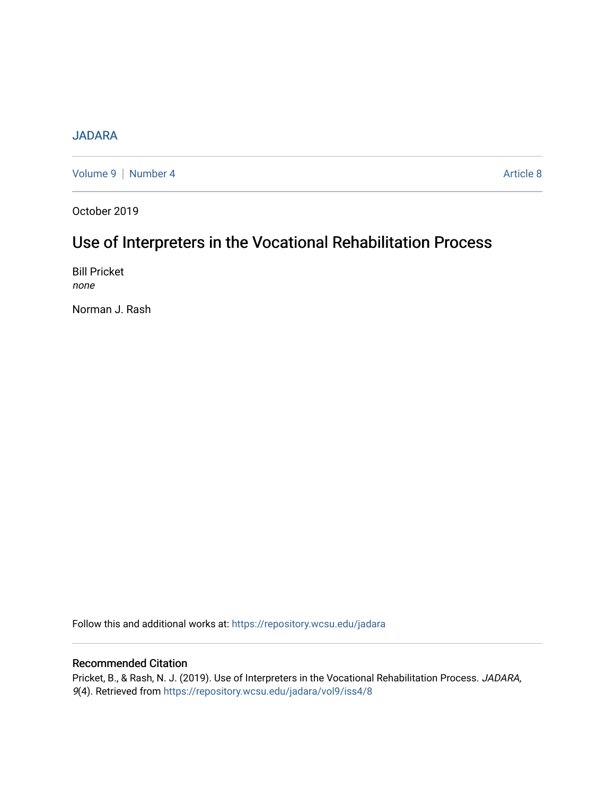## [JADARA](https://repository.wcsu.edu/jadara)

[Volume 9](https://repository.wcsu.edu/jadara/vol9) | [Number 4](https://repository.wcsu.edu/jadara/vol9/iss4) Article 8

October 2019

# Use of Interpreters in the Vocational Rehabilitation Process

Bill Pricket none

Norman J. Rash

Follow this and additional works at: [https://repository.wcsu.edu/jadara](https://repository.wcsu.edu/jadara?utm_source=repository.wcsu.edu%2Fjadara%2Fvol9%2Fiss4%2F8&utm_medium=PDF&utm_campaign=PDFCoverPages)

## Recommended Citation

Pricket, B., & Rash, N. J. (2019). Use of Interpreters in the Vocational Rehabilitation Process. JADARA, 9(4). Retrieved from [https://repository.wcsu.edu/jadara/vol9/iss4/8](https://repository.wcsu.edu/jadara/vol9/iss4/8?utm_source=repository.wcsu.edu%2Fjadara%2Fvol9%2Fiss4%2F8&utm_medium=PDF&utm_campaign=PDFCoverPages)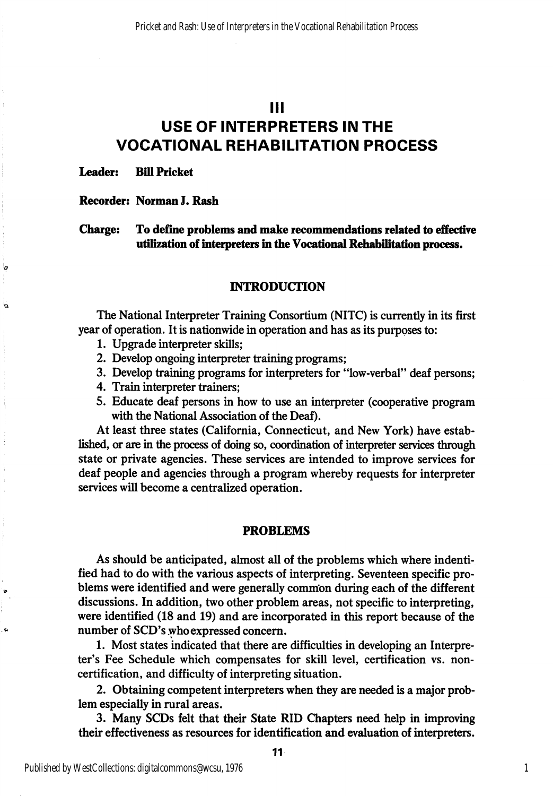Ill

# USE OF INTERPRETERS IN THE VOCATIONAL REHABILITATION PROCESS

Leader: Bill Pricket

۱a

Ь

Recorder: Norman J. Rash

Charge: To define problems and make recommendations related to effective utilization of interpreters in the Vocational Rehabilitation process.

#### INTRODUCTION

The National Interpreter Training Consortium (NITC) is currently in its first year of operation. It is nationwide in operation and has as its purposes to:

- 1. Upgrade interpreter skills;
- 2. Develop ongoing interpreter training programs;
- 3. Develop training programs for interpreters for "low-verbal" deaf persons;
- 4. Train interpreter trainers;
- 5. Educate deaf persons in how to use an interpreter (cooperative program with the National Association of the Deaf).

At least three states (California, Connecticut, and New York) have estab lished, or are in the process of doing so, coordination of interpreter services through state or private agencies. These services are intended to improve services for deaf people and agencies through a program whereby requests for interpreter services will become a centralized operation.

#### PROBLEMS

As should be anticipated, almost all of the problems which where indentified had to do with the various aspects of interpreting. Seventeen specific pro blems were identified and were generally common during each of the different discussions. In addition, two other problem areas, not specific to interpreting, were identified (18 and 19) and are incorporated in this report because of the number of SCD's who expressed concern.

1. Most states indicated that there are difficulties in developing an Interpre ter's Fee Schedule which compensates for skill level, certification vs. noncertification, and difficulty of interpreting situation.

2. Obtaining competent interpreters when they are needed is a major prob lem especially in rural areas.

3. Many SCDs felt that their State RID Giapters need help in improving their effectiveness as resources for identification and evaluation of interpreters.

11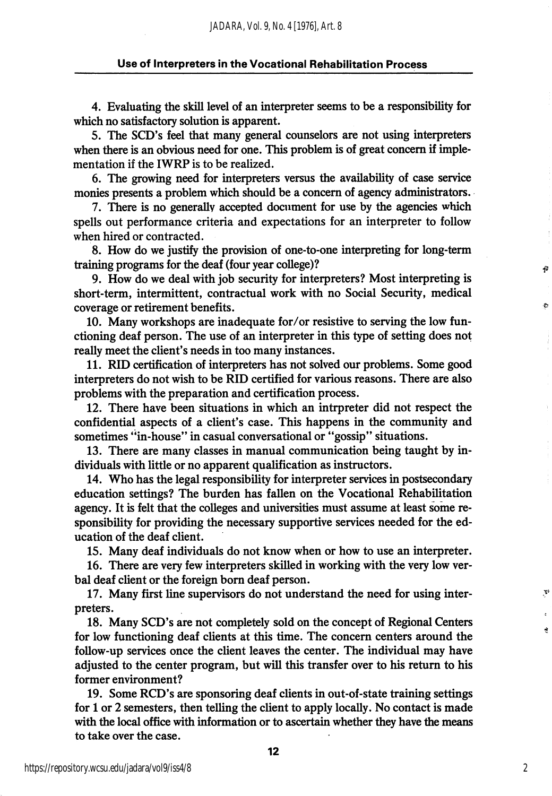4. Evaluating the skill level of an interpreter seems to be a responsibility for which no satisfactory solution is apparent.

5. The SCD's feel that many general counselors are not using interpreters when there is an obvious need for one. This problem is of great concern if imple mentation if the IWRP is to be realized.

6. The growing need for interpreters versus the availability of case service monies presents a problem which should be a concern of agency administrators.

7. There is no generally accepted document for use by the agencies which spells out performance criteria and expectations for an interpreter to follow when hired or contracted.

8. How do we justify the provision of one-to-one interpreting for long-term training programs for the deaf (four year college)?

9. How do we deal with job security for interpreters? Most interpreting is short-term, intermittent, contractual work with no Social Security, medical coverage or retirement benefits.

10. Many workshops are inadequate for/or resistive to serving the low fun ctioning deaf person. The use of an interpreter in this type of setting does not really meet the client's needs in too many instances.

11. RID certification of interpreters has not solved our problems. Some good interpreters do not wish to be RID certified for various reasons. There are also problems with the preparation and certification process.

12. There have been situations in which an intrpreter did not respect the confidential aspects of a client's case. This happens in the community and sometimes "in-house" in casual conversational or "gossip" situations.

13. There are many classes in manual communication being taught by in dividuals with little or no apparent qualification as instructors.

14. Who has the legal responsibility for interpreter services in postsecondary education settings? The burden has fallen on the Vocational Rehabilitation agency. It is felt that the colleges and universities must assume at least some re sponsibility for providing the necessary supportive services needed for the ed ucation of the deaf client.

15. Many deaf individuals do not know when or how to use an interpreter.

16. There are very few interpreters skilled in working with the very low ver bal deaf client or the foreign bom deaf person.

17. Many first line supervisors do not understand the need for using inter preters.

18. Many SCD's are not completely sold on the concept of Regional Centers for low functioning deaf clients at this time. The concern centers around the follow-up services once the client leaves the center. The individual may have adjusted to the center program, but will this transfer over to his retum to his former environment?

19. Some RCD's are sponsoring deaf clients in out-of-state training settings for 1 or 2 semesters, then telling the client to apply locally. No contact is made with the local office with information or to ascertain whether they have the means to take over the case.

P

P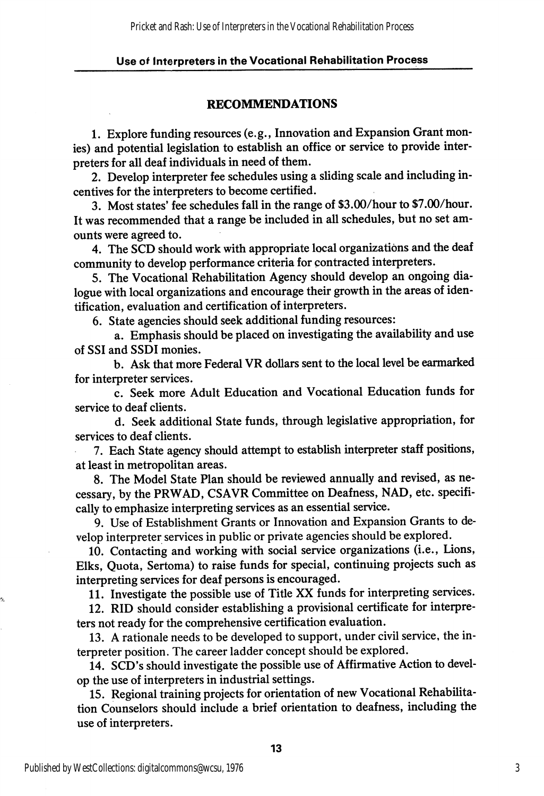## RECOMMENDATIONS

1. Explore funding resources (e.g., Innovation and Expansion Grant mon ies) and potential legislation to establish an office or service to provide inter preters for all deaf individuals in need of them.

2. Develop interpreter fee schedules using a sliding scale and including in centives for the interpreters to become certified.

3. Most states' fee schedules fall in the range of \$3.00/hour to \$7.00/hour. It was recommended that a range be included in all schedules, but no set am ounts were agreed to.

4. The SCD should work with appropriate local organizations and the deaf community to develop performance criteria for contracted interpreters.

5. The Vocational Rehabilitation Agency should develop an ongoing dia logue with local organizations and encourage their growth in the areas of iden tification, evaluation and certification of interpreters.

6. State agencies should seek additional funding resources:

a. Emphasis should be placed on investigating the availability and use of SSI and SSDI monies.

b. Ask that more Federal VR dollars sent to the local level be earmarked for interpreter services.

c. Seek more Adult Education and Vocational Education funds for service to deaf clients.

d. Seek additional State funds, through legislative appropriation, for services to deaf clients.

7. Each State agency should attempt to establish interpreter staff positions, at least in metropolitan areas.

8. The Model State Plan should be reviewed annually and revised, as ne cessary, by the PRWAD, CSAVR Committee on Deafness, NAD, etc. specifi cally to emphasize interpreting services as an essential service.

9. Use of Establishment Grants or Innovation and Expansion Grants to de velop interpreter services in public or private agencies should be explored.

10. Contacting and working with social service organizations (i.e.. Lions, Elks, Quota, Sertoma) to raise funds for special, continuing projects such as interpreting services for deaf persons is encouraged.

11. Investigate the possible use of Title XX funds for interpreting services.

12. RID should consider establishing a provisional certificate for interpre ters not ready for the comprehensive certification evaluation.

13. A rationale needs to be developed to support, under civil service, the in terpreter position. The career ladder concept should be explored.

14. SCD's should investigate the possible use of Affirmative Action to devel op the use of interpreters in industrial settings.

15. Regional training projects for orientation of new Vocational Rehabilita tion Counselors should include a brief orientation to deafness, including the use of interpreters.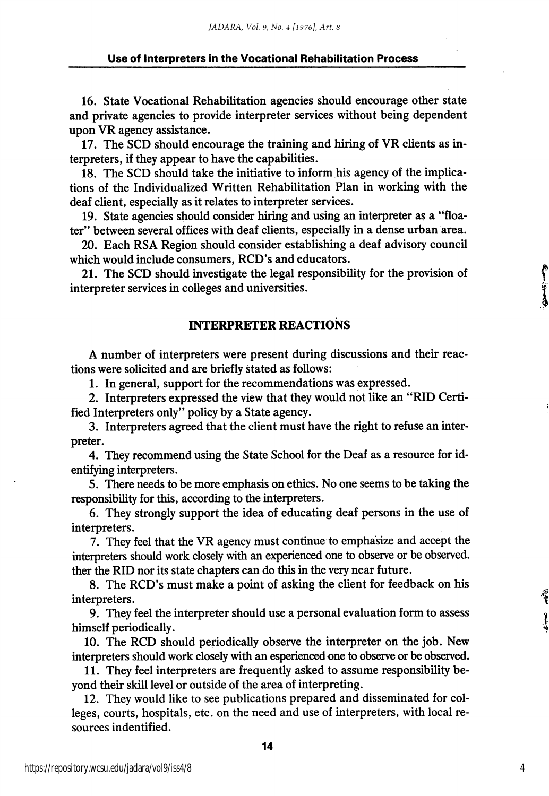16. State Vocational Rehabilitation agencies should encourage other state and private agencies to provide interpreter services without being dependent upon VR agency assistance.

17. The SCD should encourage the training and hiring of VR clients as in terpreters, if they appear to have the capabilities.

18. The SCD should take the initiative to inform his agency of the implica tions of the Individualized Written Rehabilitation Plan in working with the deaf client, especially as it relates to interpreter services.

19. State agencies should consider hiring and using an interpreter as a "floa ter" between several offices with deaf clients, especially in a dense urban area.

20. Each RSA Region should consider establishing a deaf advisory council which would include consumers, RCD's and educators.

21. The SCD should investigate the legal responsibility for the provision of interpreter services in colleges and universities.

### INTERPRETER REACTIONS

A number of interpreters were present during discussions and their reac tions were solicited and are briefly stated as follows:

1. In general, support for the recommendations was expressed.

2. Interpreters expressed the view that they would not like an "RID Certi fied Interpreters only" policy by a State agency.

3. Interpreters agreed that the client must have the right to refuse an inter preter.

4. They recommend using the State School for the Deaf as a resource for id entifying interpreters.

5. There needs to be more emphasis on ethics. No one seems to be taking the responsibility for this, according to the interpreters.

6. They strongly support the idea of educating deaf persons in the use of interpreters.

7. They feel that the VR agency must continue to emphasize and accept the interpreters should work closely with an experienced one to observe or be observed, ther the RID nor its state chapters can do this in the very near future.

8. The RCD's must make a point of asking the client for feedback on his interpreters.

9. They feel the interpreter should use a personal evaluation form to assess himself periodically.

10. The RCD should periodically observe the interpreter on the job. New interpreters should work closely with an esperienced one to observe or be observed.

11. They feel interpreters are frequently asked to assume responsibility be yond their skill level or outside of the area of interpreting.

12. They would like to see publications prepared and disseminated for col leges, courts, hospitals, etc. on the need and use of interpreters, with local re sources indentified.